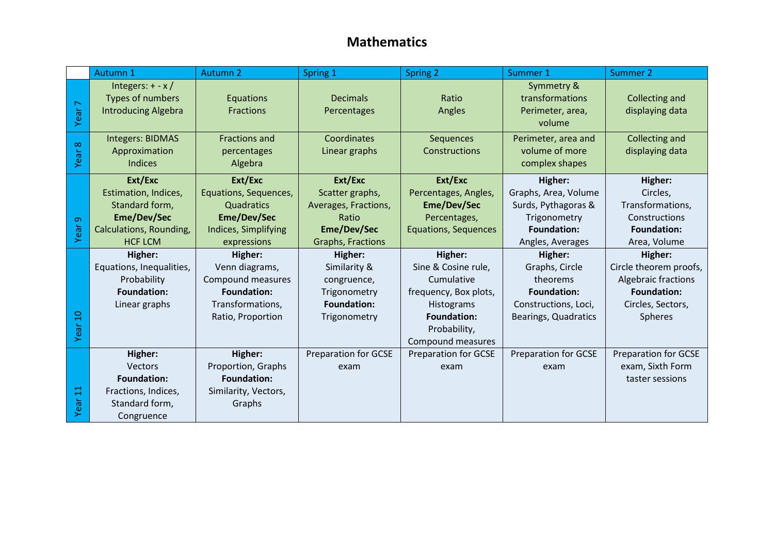## **Mathematics**

|                        | Autumn 1                                                                                                      | <b>Autumn 2</b>                                                                                               | Spring 1                                                                                        | <b>Spring 2</b>                                                                                                                                | Summer 1                                                                                                         | Summer 2                                                                                                                     |
|------------------------|---------------------------------------------------------------------------------------------------------------|---------------------------------------------------------------------------------------------------------------|-------------------------------------------------------------------------------------------------|------------------------------------------------------------------------------------------------------------------------------------------------|------------------------------------------------------------------------------------------------------------------|------------------------------------------------------------------------------------------------------------------------------|
| Year 7                 | Integers: $+ - x/$<br>Types of numbers<br><b>Introducing Algebra</b>                                          | Equations<br>Fractions                                                                                        | <b>Decimals</b><br>Percentages                                                                  | Ratio<br>Angles                                                                                                                                | Symmetry &<br>transformations<br>Perimeter, area,<br>volume                                                      | Collecting and<br>displaying data                                                                                            |
| $\infty$<br>Year       | <b>Integers: BIDMAS</b><br>Approximation<br><b>Indices</b>                                                    | <b>Fractions and</b><br>percentages<br>Algebra                                                                | Coordinates<br>Linear graphs                                                                    | Sequences<br>Constructions                                                                                                                     | Perimeter, area and<br>volume of more<br>complex shapes                                                          | Collecting and<br>displaying data                                                                                            |
| $\sigma$<br>Year       | Ext/Exc<br>Estimation, Indices,<br>Standard form,<br>Eme/Dev/Sec<br>Calculations, Rounding,<br><b>HCF LCM</b> | Ext/Exc<br>Equations, Sequences,<br>Quadratics<br><b>Eme/Dev/Sec</b><br>Indices, Simplifying<br>expressions   | Ext/Exc<br>Scatter graphs,<br>Averages, Fractions,<br>Ratio<br>Eme/Dev/Sec<br>Graphs, Fractions | Ext/Exc<br>Percentages, Angles,<br><b>Eme/Dev/Sec</b><br>Percentages,<br><b>Equations, Sequences</b>                                           | Higher:<br>Graphs, Area, Volume<br>Surds, Pythagoras &<br>Trigonometry<br><b>Foundation:</b><br>Angles, Averages | Higher:<br>Circles,<br>Transformations,<br>Constructions<br><b>Foundation:</b><br>Area, Volume                               |
| $\overline{a}$<br>Year | Higher:<br>Equations, Inequalities,<br>Probability<br><b>Foundation:</b><br>Linear graphs                     | Higher:<br>Venn diagrams,<br>Compound measures<br><b>Foundation:</b><br>Transformations,<br>Ratio, Proportion | Higher:<br>Similarity &<br>congruence,<br>Trigonometry<br><b>Foundation:</b><br>Trigonometry    | Higher:<br>Sine & Cosine rule,<br>Cumulative<br>frequency, Box plots,<br>Histograms<br><b>Foundation:</b><br>Probability,<br>Compound measures | Higher:<br>Graphs, Circle<br>theorems<br><b>Foundation:</b><br>Constructions, Loci,<br>Bearings, Quadratics      | Higher:<br>Circle theorem proofs,<br><b>Algebraic fractions</b><br><b>Foundation:</b><br>Circles, Sectors,<br><b>Spheres</b> |
| 븝<br>Year              | Higher:<br>Vectors<br><b>Foundation:</b><br>Fractions, Indices,<br>Standard form,<br>Congruence               | Higher:<br>Proportion, Graphs<br><b>Foundation:</b><br>Similarity, Vectors,<br>Graphs                         | <b>Preparation for GCSE</b><br>exam                                                             | <b>Preparation for GCSE</b><br>exam                                                                                                            | <b>Preparation for GCSE</b><br>exam                                                                              | <b>Preparation for GCSE</b><br>exam, Sixth Form<br>taster sessions                                                           |